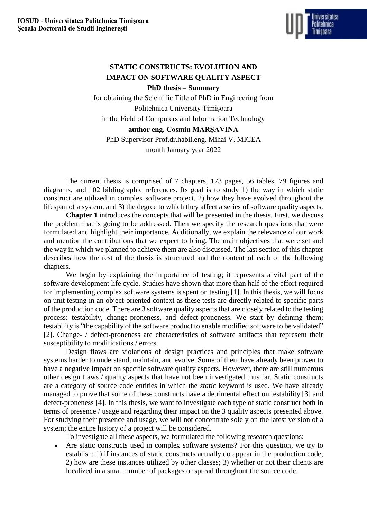

## **STATIC CONSTRUCTS: EVOLUTION AND IMPACT ON SOFTWARE QUALITY ASPECT PhD thesis – Summary**

for obtaining the Scientific Title of PhD in Engineering from Politehnica University Timișoara in the Field of Computers and Information Technology **author eng. Cosmin MARȘAVINA** PhD Supervisor Prof.dr.habil.eng. Mihai V. MICEA

month January year 2022

The current thesis is comprised of 7 chapters, 173 pages, 56 tables, 79 figures and diagrams, and 102 bibliographic references. Its goal is to study 1) the way in which static construct are utilized in complex software project, 2) how they have evolved throughout the lifespan of a system, and 3) the degree to which they affect a series of software quality aspects.

**Chapter 1** introduces the concepts that will be presented in the thesis. First, we discuss the problem that is going to be addressed. Then we specify the research questions that were formulated and highlight their importance. Additionally, we explain the relevance of our work and mention the contributions that we expect to bring. The main objectives that were set and the way in which we planned to achieve them are also discussed. The last section of this chapter describes how the rest of the thesis is structured and the content of each of the following chapters.

We begin by explaining the importance of testing; it represents a vital part of the software development life cycle. Studies have shown that more than half of the effort required for implementing complex software systems is spent on testing [1]. In this thesis, we will focus on unit testing in an object-oriented context as these tests are directly related to specific parts of the production code. There are 3 software quality aspects that are closely related to the testing process: testability, change-proneness, and defect-proneness. We start by defining them; testability is "the capability of the software product to enable modified software to be validated" [2]. Change- / defect-proneness are characteristics of software artifacts that represent their susceptibility to modifications / errors.

Design flaws are violations of design practices and principles that make software systems harder to understand, maintain, and evolve. Some of them have already been proven to have a negative impact on specific software quality aspects. However, there are still numerous other design flaws / quality aspects that have not been investigated thus far. Static constructs are a category of source code entities in which the *static* keyword is used. We have already managed to prove that some of these constructs have a detrimental effect on testability [3] and defect-proneness [4]. In this thesis, we want to investigate each type of static construct both in terms of presence / usage and regarding their impact on the 3 quality aspects presented above. For studying their presence and usage, we will not concentrate solely on the latest version of a system; the entire history of a project will be considered.

To investigate all these aspects, we formulated the following research questions:

 Are static constructs used in complex software systems? For this question, we try to establish: 1) if instances of static constructs actually do appear in the production code; 2) how are these instances utilized by other classes; 3) whether or not their clients are localized in a small number of packages or spread throughout the source code.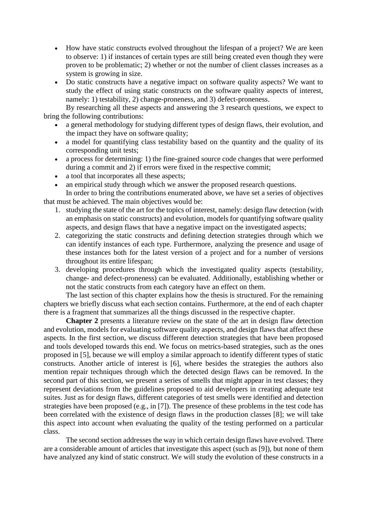- How have static constructs evolved throughout the lifespan of a project? We are keen to observe: 1) if instances of certain types are still being created even though they were proven to be problematic; 2) whether or not the number of client classes increases as a system is growing in size.
- Do static constructs have a negative impact on software quality aspects? We want to study the effect of using static constructs on the software quality aspects of interest, namely: 1) testability, 2) change-proneness, and 3) defect-proneness.

By researching all these aspects and answering the 3 research questions, we expect to bring the following contributions:

- a general methodology for studying different types of design flaws, their evolution, and the impact they have on software quality;
- a model for quantifying class testability based on the quantity and the quality of its corresponding unit tests;
- a process for determining: 1) the fine-grained source code changes that were performed during a commit and 2) if errors were fixed in the respective commit;
- a tool that incorporates all these aspects;
- an empirical study through which we answer the proposed research questions.

In order to bring the contributions enumerated above, we have set a series of objectives that must be achieved. The main objectives would be:

- 1. studying the state of the art for the topics of interest, namely: design flaw detection (with an emphasis on static constructs) and evolution, models for quantifying software quality aspects, and design flaws that have a negative impact on the investigated aspects;
- 2. categorizing the static constructs and defining detection strategies through which we can identify instances of each type. Furthermore, analyzing the presence and usage of these instances both for the latest version of a project and for a number of versions throughout its entire lifespan;
- 3. developing procedures through which the investigated quality aspects (testability, change- and defect-proneness) can be evaluated. Additionally, establishing whether or not the static constructs from each category have an effect on them.

The last section of this chapter explains how the thesis is structured. For the remaining chapters we briefly discuss what each section contains. Furthermore, at the end of each chapter there is a fragment that summarizes all the things discussed in the respective chapter.

**Chapter 2** presents a literature review on the state of the art in design flaw detection and evolution, models for evaluating software quality aspects, and design flaws that affect these aspects. In the first section, we discuss different detection strategies that have been proposed and tools developed towards this end. We focus on metrics-based strategies, such as the ones proposed in [5], because we will employ a similar approach to identify different types of static constructs. Another article of interest is [6], where besides the strategies the authors also mention repair techniques through which the detected design flaws can be removed. In the second part of this section, we present a series of smells that might appear in test classes; they represent deviations from the guidelines proposed to aid developers in creating adequate test suites. Just as for design flaws, different categories of test smells were identified and detection strategies have been proposed (e.g., in [7]). The presence of these problems in the test code has been correlated with the existence of design flaws in the production classes [8]; we will take this aspect into account when evaluating the quality of the testing performed on a particular class.

The second section addresses the way in which certain design flaws have evolved. There are a considerable amount of articles that investigate this aspect (such as [9]), but none of them have analyzed any kind of static construct. We will study the evolution of these constructs in a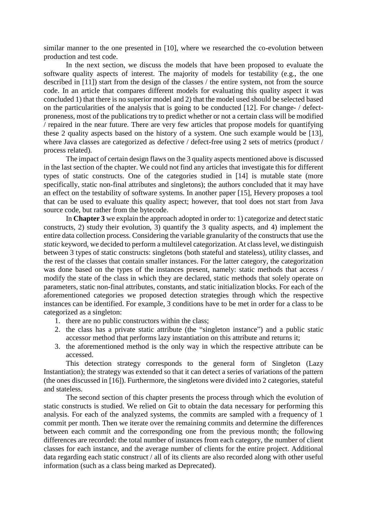similar manner to the one presented in [10], where we researched the co-evolution between production and test code.

In the next section, we discuss the models that have been proposed to evaluate the software quality aspects of interest. The majority of models for testability (e.g., the one described in [11]) start from the design of the classes / the entire system, not from the source code. In an article that compares different models for evaluating this quality aspect it was concluded 1) that there is no superior model and 2) that the model used should be selected based on the particularities of the analysis that is going to be conducted [12]. For change- / defectproneness, most of the publications try to predict whether or not a certain class will be modified / repaired in the near future. There are very few articles that propose models for quantifying these 2 quality aspects based on the history of a system. One such example would be [13], where Java classes are categorized as defective / defect-free using 2 sets of metrics (product / process related).

The impact of certain design flaws on the 3 quality aspects mentioned above is discussed in the last section of the chapter. We could not find any articles that investigate this for different types of static constructs. One of the categories studied in [14] is mutable state (more specifically, static non-final attributes and singletons); the authors concluded that it may have an effect on the testability of software systems. In another paper [15], Hevery proposes a tool that can be used to evaluate this quality aspect; however, that tool does not start from Java source code, but rather from the bytecode.

In **Chapter 3** we explain the approach adopted in order to: 1) categorize and detect static constructs, 2) study their evolution, 3) quantify the 3 quality aspects, and 4) implement the entire data collection process. Considering the variable granularity of the constructs that use the *static* keyword, we decided to perform a multilevel categorization. At class level, we distinguish between 3 types of static constructs: singletons (both stateful and stateless), utility classes, and the rest of the classes that contain smaller instances. For the latter category, the categorization was done based on the types of the instances present, namely: static methods that access / modify the state of the class in which they are declared, static methods that solely operate on parameters, static non-final attributes, constants, and static initialization blocks. For each of the aforementioned categories we proposed detection strategies through which the respective instances can be identified. For example, 3 conditions have to be met in order for a class to be categorized as a singleton:

- 1. there are no public constructors within the class;
- 2. the class has a private static attribute (the "singleton instance") and a public static accessor method that performs lazy instantiation on this attribute and returns it;
- 3. the aforementioned method is the only way in which the respective attribute can be accessed.

This detection strategy corresponds to the general form of Singleton (Lazy Instantiation); the strategy was extended so that it can detect a series of variations of the pattern (the ones discussed in [16]). Furthermore, the singletons were divided into 2 categories, stateful and stateless.

The second section of this chapter presents the process through which the evolution of static constructs is studied. We relied on Git to obtain the data necessary for performing this analysis. For each of the analyzed systems, the commits are sampled with a frequency of 1 commit per month. Then we iterate over the remaining commits and determine the differences between each commit and the corresponding one from the previous month; the following differences are recorded: the total number of instances from each category, the number of client classes for each instance, and the average number of clients for the entire project. Additional data regarding each static construct / all of its clients are also recorded along with other useful information (such as a class being marked as Deprecated).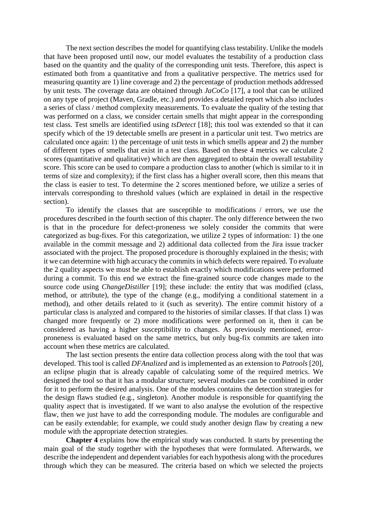The next section describes the model for quantifying class testability. Unlike the models that have been proposed until now, our model evaluates the testability of a production class based on the quantity and the quality of the corresponding unit tests. Therefore, this aspect is estimated both from a quantitative and from a qualitative perspective. The metrics used for measuring quantity are 1) line coverage and 2) the percentage of production methods addressed by unit tests. The coverage data are obtained through *JaCoCo* [17], a tool that can be utilized on any type of project (Maven, Gradle, etc.) and provides a detailed report which also includes a series of class / method complexity measurements. To evaluate the quality of the testing that was performed on a class, we consider certain smells that might appear in the corresponding test class. Test smells are identified using *tsDetect* [18]; this tool was extended so that it can specify which of the 19 detectable smells are present in a particular unit test. Two metrics are calculated once again: 1) the percentage of unit tests in which smells appear and 2) the number of different types of smells that exist in a test class. Based on these 4 metrics we calculate 2 scores (quantitative and qualitative) which are then aggregated to obtain the overall testability score. This score can be used to compare a production class to another (which is similar to it in terms of size and complexity); if the first class has a higher overall score, then this means that the class is easier to test. To determine the 2 scores mentioned before, we utilize a series of intervals corresponding to threshold values (which are explained in detail in the respective section).

To identify the classes that are susceptible to modifications / errors, we use the procedures described in the fourth section of this chapter. The only difference between the two is that in the procedure for defect-proneness we solely consider the commits that were categorized as bug-fixes. For this categorization, we utilize 2 types of information: 1) the one available in the commit message and 2) additional data collected from the Jira issue tracker associated with the project. The proposed procedure is thoroughly explained in the thesis; with it we can determine with high accuracy the commits in which defects were repaired. To evaluate the 2 quality aspects we must be able to establish exactly which modifications were performed during a commit. To this end we extract the fine-grained source code changes made to the source code using *ChangeDistiller* [19]; these include: the entity that was modified (class, method, or attribute), the type of the change (e.g., modifying a conditional statement in a method), and other details related to it (such as severity). The entire commit history of a particular class is analyzed and compared to the histories of similar classes. If that class 1) was changed more frequently or 2) more modifications were performed on it, then it can be considered as having a higher susceptibility to changes. As previously mentioned, errorproneness is evaluated based on the same metrics, but only bug-fix commits are taken into account when these metrics are calculated.

The last section presents the entire data collection process along with the tool that was developed. This tool is called *DFAnalized* and is implemented as an extension to *Patrools* [20], an eclipse plugin that is already capable of calculating some of the required metrics. We designed the tool so that it has a modular structure; several modules can be combined in order for it to perform the desired analysis. One of the modules contains the detection strategies for the design flaws studied (e.g., singleton). Another module is responsible for quantifying the quality aspect that is investigated. If we want to also analyse the evolution of the respective flaw, then we just have to add the corresponding module. The modules are configurable and can be easily extendable; for example, we could study another design flaw by creating a new module with the appropriate detection strategies.

**Chapter 4** explains how the empirical study was conducted. It starts by presenting the main goal of the study together with the hypotheses that were formulated. Afterwards, we describe the independent and dependent variables for each hypothesis along with the procedures through which they can be measured. The criteria based on which we selected the projects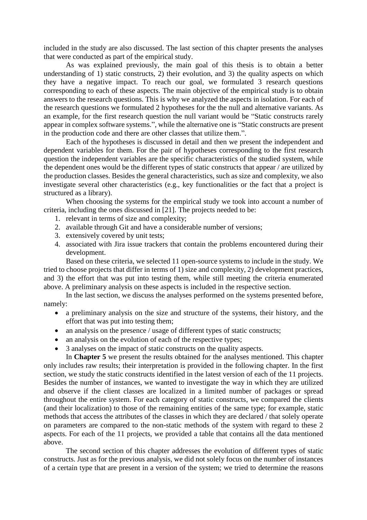included in the study are also discussed. The last section of this chapter presents the analyses that were conducted as part of the empirical study.

As was explained previously, the main goal of this thesis is to obtain a better understanding of 1) static constructs, 2) their evolution, and 3) the quality aspects on which they have a negative impact. To reach our goal, we formulated 3 research questions corresponding to each of these aspects. The main objective of the empirical study is to obtain answers to the research questions. This is why we analyzed the aspects in isolation. For each of the research questions we formulated 2 hypotheses for the the null and alternative variants. As an example, for the first research question the null variant would be "Static constructs rarely appear in complex software systems.", while the alternative one is "Static constructs are present in the production code and there are other classes that utilize them.".

Each of the hypotheses is discussed in detail and then we present the independent and dependent variables for them. For the pair of hypotheses corresponding to the first research question the independent variables are the specific characteristics of the studied system, while the dependent ones would be the different types of static constructs that appear / are utilized by the production classes. Besides the general characteristics, such as size and complexity, we also investigate several other characteristics (e.g., key functionalities or the fact that a project is structured as a library).

When choosing the systems for the empirical study we took into account a number of criteria, including the ones discussed in [21]. The projects needed to be:

- 1. relevant in terms of size and complexity;
- 2. available through Git and have a considerable number of versions;
- 3. extensively covered by unit tests;
- 4. associated with Jira issue trackers that contain the problems encountered during their development.

Based on these criteria, we selected 11 open-source systems to include in the study. We tried to choose projects that differ in terms of 1) size and complexity, 2) development practices, and 3) the effort that was put into testing them, while still meeting the criteria enumerated above. A preliminary analysis on these aspects is included in the respective section.

In the last section, we discuss the analyses performed on the systems presented before, namely:

- a preliminary analysis on the size and structure of the systems, their history, and the effort that was put into testing them;
- an analysis on the presence / usage of different types of static constructs;
- an analysis on the evolution of each of the respective types;
- 3 analyses on the impact of static constructs on the quality aspects.

In **Chapter 5** we present the results obtained for the analyses mentioned. This chapter only includes raw results; their interpretation is provided in the following chapter. In the first section, we study the static constructs identified in the latest version of each of the 11 projects. Besides the number of instances, we wanted to investigate the way in which they are utilized and observe if the client classes are localized in a limited number of packages or spread throughout the entire system. For each category of static constructs, we compared the clients (and their localization) to those of the remaining entities of the same type; for example, static methods that access the attributes of the classes in which they are declared / that solely operate on parameters are compared to the non-static methods of the system with regard to these 2 aspects. For each of the 11 projects, we provided a table that contains all the data mentioned above.

The second section of this chapter addresses the evolution of different types of static constructs. Just as for the previous analysis, we did not solely focus on the number of instances of a certain type that are present in a version of the system; we tried to determine the reasons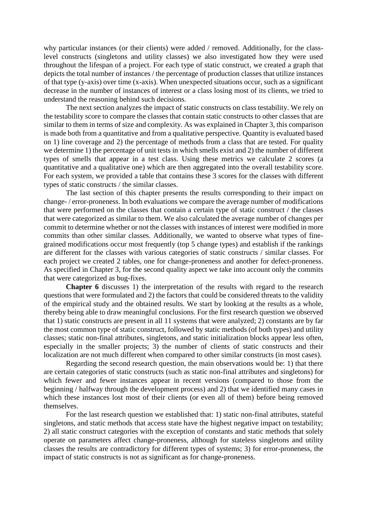why particular instances (or their clients) were added / removed. Additionally, for the classlevel constructs (singletons and utility classes) we also investigated how they were used throughout the lifespan of a project. For each type of static construct, we created a graph that depicts the total number of instances / the percentage of production classes that utilize instances of that type (y-axis) over time (x-axis). When unexpected situations occur, such as a significant decrease in the number of instances of interest or a class losing most of its clients, we tried to understand the reasoning behind such decisions.

The next section analyzes the impact of static constructs on class testability. We rely on the testability score to compare the classes that contain static constructs to other classes that are similar to them in terms of size and complexity. As was explained in Chapter 3, this comparison is made both from a quantitative and from a qualitative perspective. Quantity is evaluated based on 1) line coverage and 2) the percentage of methods from a class that are tested. For quality we determine 1) the percentage of unit tests in which smells exist and 2) the number of different types of smells that appear in a test class. Using these metrics we calculate 2 scores (a quantitative and a qualitative one) which are then aggregated into the overall testability score. For each system, we provided a table that contains these 3 scores for the classes with different types of static constructs / the similar classes.

The last section of this chapter presents the results corresponding to their impact on change- / error-proneness. In both evaluations we compare the average number of modifications that were performed on the classes that contain a certain type of static construct / the classes that were categorized as similar to them. We also calculated the average number of changes per commit to determine whether or not the classes with instances of interest were modified in more commits than other similar classes. Additionally, we wanted to observe what types of finegrained modifications occur most frequently (top 5 change types) and establish if the rankings are different for the classes with various categories of static constructs / similar classes. For each project we created 2 tables, one for change-proneness and another for defect-proneness. As specified in Chapter 3, for the second quality aspect we take into account only the commits that were categorized as bug-fixes.

**Chapter 6** discusses 1) the interpretation of the results with regard to the research questions that were formulated and 2) the factors that could be considered threats to the validity of the empirical study and the obtained results. We start by looking at the results as a whole, thereby being able to draw meaningful conclusions. For the first research question we observed that 1) static constructs are present in all 11 systems that were analyzed; 2) constants are by far the most common type of static construct, followed by static methods (of both types) and utility classes; static non-final attributes, singletons, and static initialization blocks appear less often, especially in the smaller projects; 3) the number of clients of static constructs and their localization are not much different when compared to other similar constructs (in most cases).

Regarding the second research question, the main observations would be: 1) that there are certain categories of static constructs (such as static non-final attributes and singletons) for which fewer and fewer instances appear in recent versions (compared to those from the beginning / halfway through the development process) and 2) that we identified many cases in which these instances lost most of their clients (or even all of them) before being removed themselves.

For the last research question we established that: 1) static non-final attributes, stateful singletons, and static methods that access state have the highest negative impact on testability; 2) all static construct categories with the exception of constants and static methods that solely operate on parameters affect change-proneness, although for stateless singletons and utility classes the results are contradictory for different types of systems; 3) for error-proneness, the impact of static constructs is not as significant as for change-proneness.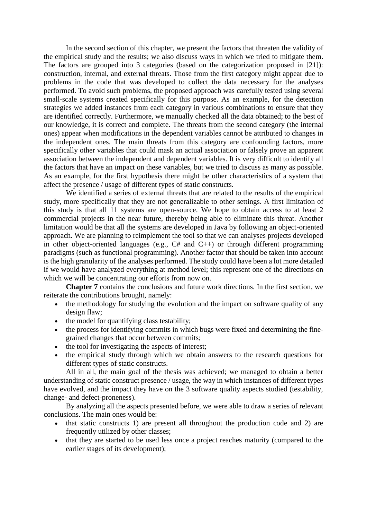In the second section of this chapter, we present the factors that threaten the validity of the empirical study and the results; we also discuss ways in which we tried to mitigate them. The factors are grouped into 3 categories (based on the categorization proposed in [21]): construction, internal, and external threats. Those from the first category might appear due to problems in the code that was developed to collect the data necessary for the analyses performed. To avoid such problems, the proposed approach was carefully tested using several small-scale systems created specifically for this purpose. As an example, for the detection strategies we added instances from each category in various combinations to ensure that they are identified correctly. Furthermore, we manually checked all the data obtained; to the best of our knowledge, it is correct and complete. The threats from the second category (the internal ones) appear when modifications in the dependent variables cannot be attributed to changes in the independent ones. The main threats from this category are confounding factors, more specifically other variables that could mask an actual association or falsely prove an apparent association between the independent and dependent variables. It is very difficult to identify all the factors that have an impact on these variables, but we tried to discuss as many as possible. As an example, for the first hypothesis there might be other characteristics of a system that affect the presence / usage of different types of static constructs.

We identified a series of external threats that are related to the results of the empirical study, more specifically that they are not generalizable to other settings. A first limitation of this study is that all 11 systems are open-source. We hope to obtain access to at least 2 commercial projects in the near future, thereby being able to eliminate this threat. Another limitation would be that all the systems are developed in Java by following an object-oriented approach. We are planning to reimplement the tool so that we can analyses projects developed in other object-oriented languages (e.g.,  $C#$  and  $C++$ ) or through different programming paradigms (such as functional programming). Another factor that should be taken into account is the high granularity of the analyses performed. The study could have been a lot more detailed if we would have analyzed everything at method level; this represent one of the directions on which we will be concentrating our efforts from now on.

**Chapter 7** contains the conclusions and future work directions. In the first section, we reiterate the contributions brought, namely:

- the methodology for studying the evolution and the impact on software quality of any design flaw;
- the model for quantifying class testability;
- the process for identifying commits in which bugs were fixed and determining the finegrained changes that occur between commits;
- the tool for investigating the aspects of interest;
- the empirical study through which we obtain answers to the research questions for different types of static constructs.

All in all, the main goal of the thesis was achieved; we managed to obtain a better understanding of static construct presence / usage, the way in which instances of different types have evolved, and the impact they have on the 3 software quality aspects studied (testability, change- and defect-proneness).

By analyzing all the aspects presented before, we were able to draw a series of relevant conclusions. The main ones would be:

- that static constructs 1) are present all throughout the production code and 2) are frequently utilized by other classes;
- that they are started to be used less once a project reaches maturity (compared to the earlier stages of its development);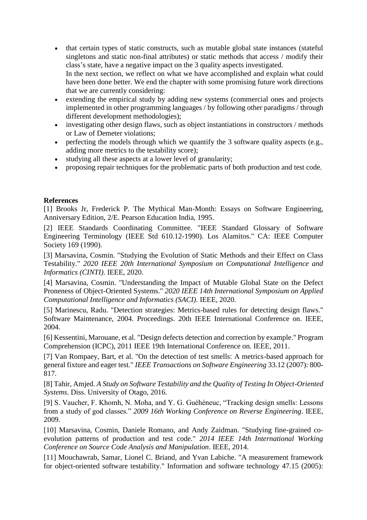- that certain types of static constructs, such as mutable global state instances (stateful singletons and static non-final attributes) or static methods that access / modify their class's state, have a negative impact on the 3 quality aspects investigated. In the next section, we reflect on what we have accomplished and explain what could have been done better. We end the chapter with some promising future work directions that we are currently considering:
- extending the empirical study by adding new systems (commercial ones and projects implemented in other programming languages / by following other paradigms / through different development methodologies);
- investigating other design flaws, such as object instantiations in constructors / methods or Law of Demeter violations;
- perfecting the models through which we quantify the 3 software quality aspects (e.g., adding more metrics to the testability score);
- studying all these aspects at a lower level of granularity;
- proposing repair techniques for the problematic parts of both production and test code.

## **References**

[1] Brooks Jr, Frederick P. The Mythical Man-Month: Essays on Software Engineering, Anniversary Edition, 2/E. Pearson Education India, 1995.

[2] IEEE Standards Coordinating Committee. "IEEE Standard Glossary of Software Engineering Terminology (IEEE Std 610.12-1990). Los Alamitos." CA: IEEE Computer Society 169 (1990).

[3] Marsavina, Cosmin. "Studying the Evolution of Static Methods and their Effect on Class Testability." *2020 IEEE 20th International Symposium on Computational Intelligence and Informatics (CINTI)*. IEEE, 2020.

[4] Marsavina, Cosmin. "Understanding the Impact of Mutable Global State on the Defect Proneness of Object-Oriented Systems." *2020 IEEE 14th International Symposium on Applied Computational Intelligence and Informatics (SACI)*. IEEE, 2020.

[5] Marinescu, Radu. "Detection strategies: Metrics-based rules for detecting design flaws." Software Maintenance, 2004. Proceedings. 20th IEEE International Conference on. IEEE, 2004.

[6] Kessentini, Marouane, et al. "Design defects detection and correction by example." Program Comprehension (ICPC), 2011 IEEE 19th International Conference on. IEEE, 2011.

[7] Van Rompaey, Bart, et al. "On the detection of test smells: A metrics-based approach for general fixture and eager test." *IEEE Transactions on Software Engineering* 33.12 (2007): 800- 817.

[8] Tahir, Amjed. *A Study on Software Testability and the Quality of Testing In Object-Oriented Systems*. Diss. University of Otago, 2016.

[9] S. Vaucher, F. Khomh, N. Moha, and Y. G. Guéhéneuc, "Tracking design smells: Lessons from a study of god classes." *2009 16th Working Conference on Reverse Engineering*. IEEE, 2009.

[10] Marsavina, Cosmin, Daniele Romano, and Andy Zaidman. "Studying fine-grained coevolution patterns of production and test code." *2014 IEEE 14th International Working Conference on Source Code Analysis and Manipulation*. IEEE, 2014.

[11] Mouchawrab, Samar, Lionel C. Briand, and Yvan Labiche. "A measurement framework for object-oriented software testability." Information and software technology 47.15 (2005):